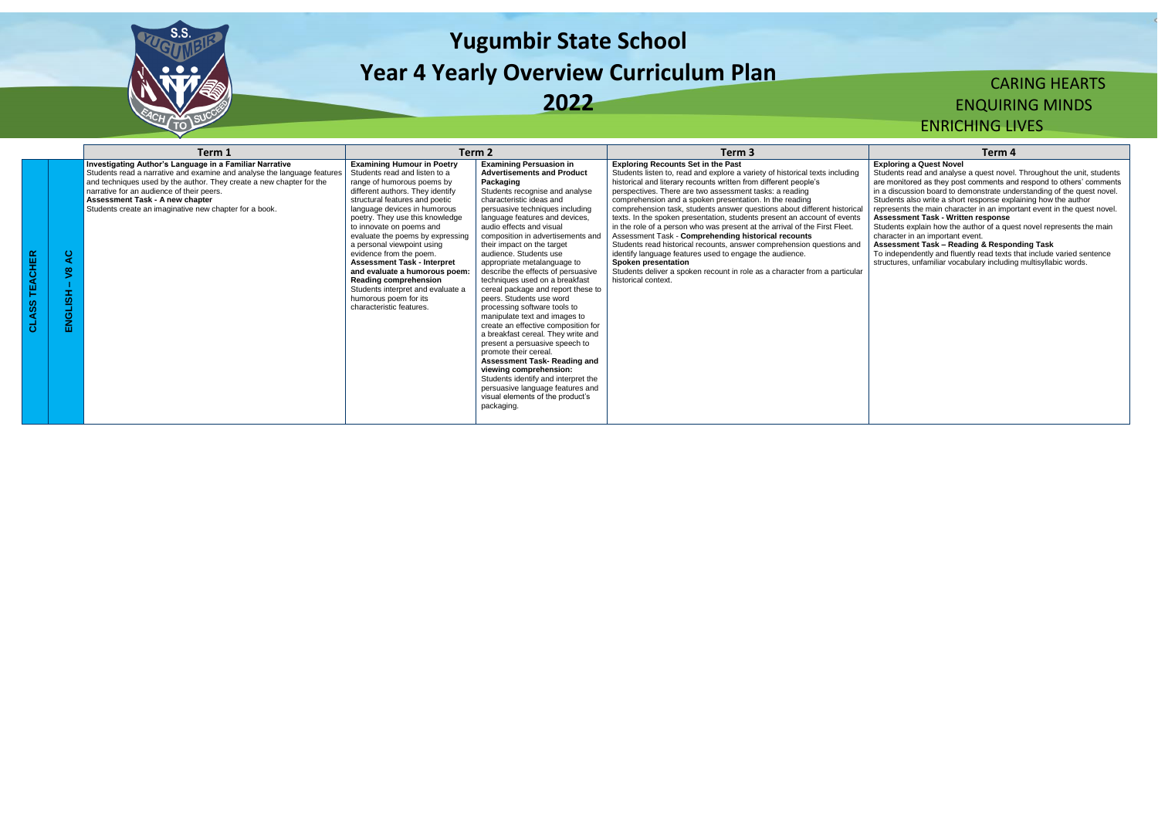

# **Yugumbir State School Year 4 Yearly Overview Curriculum Plan 2022**

## CARING HEARTS ENQUIRING MINDS ENRICHING LIVES

|                                                                     | Term 1                                                                                                                                                                                                                                                                                                                                               |                                                                                                                                                                                                                                                                                                                                                                                                                                                                                                                                                              | Term 2                                                                                                                                                                                                                                                                                                                                                                                                                                                                                                                                                                                                                                                                                                                                                                                                                                                                                                               | Term 3                                                                                                                                                                                                                                                                                                                                                                                                                                                                                                                                                                                                                                                                                                                                                                                                                                                                                 | Term <sub>4</sub>                                                                                                                                                                                                                                                                                                                                                                                                                                                                                                                   |
|---------------------------------------------------------------------|------------------------------------------------------------------------------------------------------------------------------------------------------------------------------------------------------------------------------------------------------------------------------------------------------------------------------------------------------|--------------------------------------------------------------------------------------------------------------------------------------------------------------------------------------------------------------------------------------------------------------------------------------------------------------------------------------------------------------------------------------------------------------------------------------------------------------------------------------------------------------------------------------------------------------|----------------------------------------------------------------------------------------------------------------------------------------------------------------------------------------------------------------------------------------------------------------------------------------------------------------------------------------------------------------------------------------------------------------------------------------------------------------------------------------------------------------------------------------------------------------------------------------------------------------------------------------------------------------------------------------------------------------------------------------------------------------------------------------------------------------------------------------------------------------------------------------------------------------------|----------------------------------------------------------------------------------------------------------------------------------------------------------------------------------------------------------------------------------------------------------------------------------------------------------------------------------------------------------------------------------------------------------------------------------------------------------------------------------------------------------------------------------------------------------------------------------------------------------------------------------------------------------------------------------------------------------------------------------------------------------------------------------------------------------------------------------------------------------------------------------------|-------------------------------------------------------------------------------------------------------------------------------------------------------------------------------------------------------------------------------------------------------------------------------------------------------------------------------------------------------------------------------------------------------------------------------------------------------------------------------------------------------------------------------------|
| ပ<br>⋖<br>$\infty$<br>Œ.<br>$\overline{\mathbf{a}}$<br>ပ<br>Ž<br>ш. | Investigating Author's Language in a Familiar Narrative<br>Students read a narrative and examine and analyse the language features<br>and techniques used by the author. They create a new chapter for the<br>narrative for an audience of their peers.<br>Assessment Task - A new chapter<br>Students create an imaginative new chapter for a book. | <b>Examining Humour in Poetry</b><br>Students read and listen to a<br>range of humorous poems by<br>different authors. They identify<br>structural features and poetic<br>language devices in humorous<br>poetry. They use this knowledge<br>to innovate on poems and<br>evaluate the poems by expressing<br>a personal viewpoint using<br>evidence from the poem.<br><b>Assessment Task - Interpret</b><br>and evaluate a humorous poem:<br>Reading comprehension<br>Students interpret and evaluate a<br>humorous poem for its<br>characteristic features. | <b>Examining Persuasion in</b><br><b>Advertisements and Product</b><br>Packaging<br>Students recognise and analyse<br>characteristic ideas and<br>persuasive techniques including<br>language features and devices,<br>audio effects and visual<br>composition in advertisements and<br>their impact on the target<br>audience. Students use<br>appropriate metalanguage to<br>describe the effects of persuasive<br>techniques used on a breakfast<br>cereal package and report these to<br>peers. Students use word<br>processing software tools to<br>manipulate text and images to<br>create an effective composition for<br>a breakfast cereal. They write and<br>present a persuasive speech to<br>promote their cereal.<br>Assessment Task-Reading and<br>viewing comprehension:<br>Students identify and interpret the<br>persuasive language features and<br>visual elements of the product's<br>packaging. | <b>Exploring Recounts Set in the Past</b><br>Students listen to, read and explore a variety of historical texts including<br>historical and literary recounts written from different people's<br>perspectives. There are two assessment tasks: a reading<br>comprehension and a spoken presentation. In the reading<br>comprehension task, students answer questions about different historica<br>texts. In the spoken presentation, students present an account of events<br>in the role of a person who was present at the arrival of the First Fleet.<br>Assessment Task - Comprehending historical recounts<br>Students read historical recounts, answer comprehension questions and<br>identify language features used to engage the audience.<br><b>Spoken presentation</b><br>Students deliver a spoken recount in role as a character from a particular<br>historical context. | <b>Exploring a Quest Novel</b><br>Students read and analyse a quest novel<br>are monitored as they post comments an<br>in a discussion board to demonstrate und<br>Students also write a short response expl<br>represents the main character in an impo<br><b>Assessment Task - Written response</b><br>Students explain how the author of a que<br>character in an important event.<br><b>Assessment Task - Reading &amp; Respor</b><br>To independently and fluently read texts t<br>structures, unfamiliar vocabulary including |

Students explain how the author of a quest novel represents the main character in an important event.

## **Exploring a Quest Novel**

Students read and analyse a quest novel. Throughout the unit, students are monitored as they post comments and respond to others' comments in a discussion board to demonstrate understanding of the quest novel. Students also write a short response explaining how the author

represents the main character in an important event in the quest novel. **Assessment Task - Written response**

**Assessment Task – Reading & Responding Task**

To independently and fluently read texts that include varied sentence structures, unfamiliar vocabulary including multisyllabic words.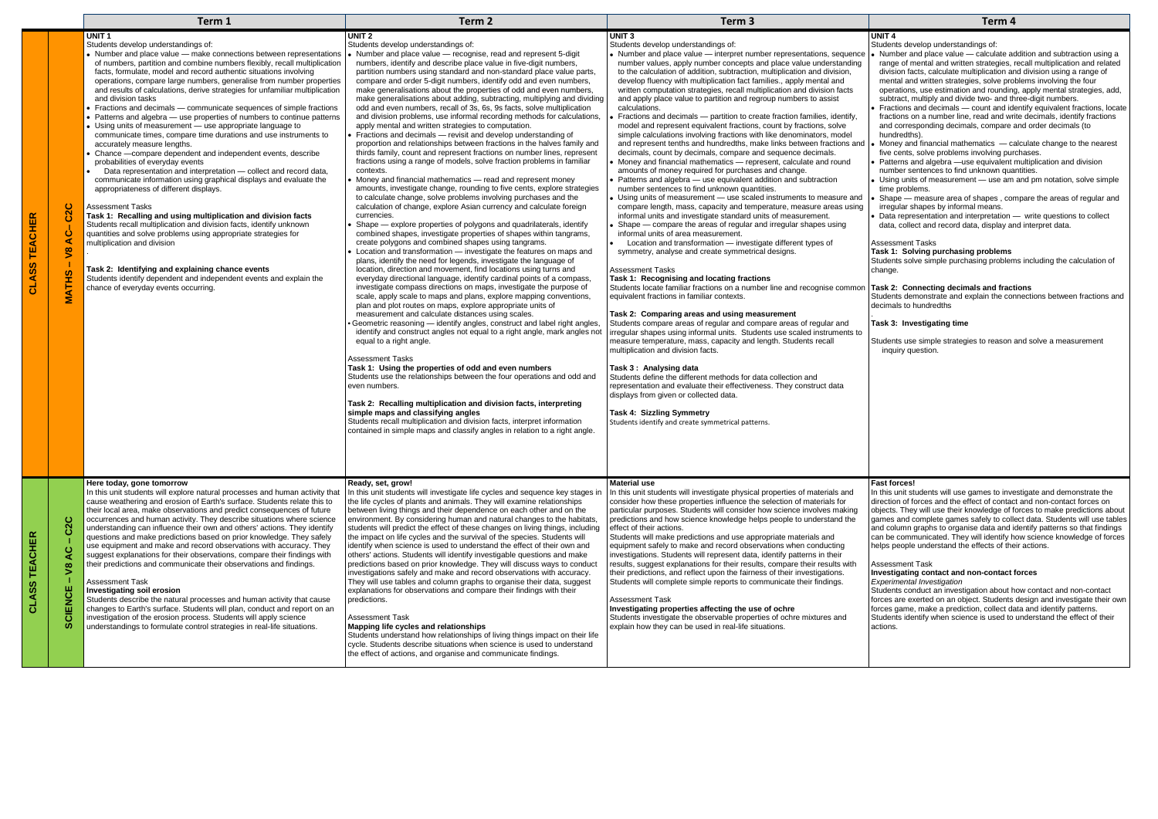|                                                                                                    | Term 1                                                                                                                                                                                                                                                                                                                                                                                                                                                                                                                                                                                                                                                                                                                                                                                                                                                                                                                                                                                                                                                                                                                                                                                                                                                                                                                                                                                                                                                                                                   | Term <sub>2</sub>                                                                                                                                                                                                                                                                                                                                                                                                                                                                                                                                                                                                                                                                                                                                                                                                                                                                                                                                                                                                                                                                                                                                                                                                                                                                                                                                                                                                                                                                                                                                                                                                                                                                                                                                                                                                                                                                                                                                                                                                                                                                                                                                                                                                                                                                                                                                                                                                                                                                                                                                                                                                                                                                                                             | Term <sub>3</sub>                                                                                                                                                                                                                                                                                                                                                                                                                                                                                                                                                                                                                                                                                                                                                                                                                                                                                                                                                                                                                                                                                                                                                                                                                                                                                                                                                                                                                                                                                                                                                                                                                                                                                                                                                                                                                                                                                                                                                                                                                                                                                                                                                                                                                                                                                                                                                                                              | Term <sub>4</sub>                                                                                                                                                                                                                                                                                                                                                                                                                                                                                                                                                                                                                                                                                                                                                                                                                                                                                                                                                                                                                                                                                                                                                                                                                 |
|----------------------------------------------------------------------------------------------------|----------------------------------------------------------------------------------------------------------------------------------------------------------------------------------------------------------------------------------------------------------------------------------------------------------------------------------------------------------------------------------------------------------------------------------------------------------------------------------------------------------------------------------------------------------------------------------------------------------------------------------------------------------------------------------------------------------------------------------------------------------------------------------------------------------------------------------------------------------------------------------------------------------------------------------------------------------------------------------------------------------------------------------------------------------------------------------------------------------------------------------------------------------------------------------------------------------------------------------------------------------------------------------------------------------------------------------------------------------------------------------------------------------------------------------------------------------------------------------------------------------|-------------------------------------------------------------------------------------------------------------------------------------------------------------------------------------------------------------------------------------------------------------------------------------------------------------------------------------------------------------------------------------------------------------------------------------------------------------------------------------------------------------------------------------------------------------------------------------------------------------------------------------------------------------------------------------------------------------------------------------------------------------------------------------------------------------------------------------------------------------------------------------------------------------------------------------------------------------------------------------------------------------------------------------------------------------------------------------------------------------------------------------------------------------------------------------------------------------------------------------------------------------------------------------------------------------------------------------------------------------------------------------------------------------------------------------------------------------------------------------------------------------------------------------------------------------------------------------------------------------------------------------------------------------------------------------------------------------------------------------------------------------------------------------------------------------------------------------------------------------------------------------------------------------------------------------------------------------------------------------------------------------------------------------------------------------------------------------------------------------------------------------------------------------------------------------------------------------------------------------------------------------------------------------------------------------------------------------------------------------------------------------------------------------------------------------------------------------------------------------------------------------------------------------------------------------------------------------------------------------------------------------------------------------------------------------------------------------------------------|----------------------------------------------------------------------------------------------------------------------------------------------------------------------------------------------------------------------------------------------------------------------------------------------------------------------------------------------------------------------------------------------------------------------------------------------------------------------------------------------------------------------------------------------------------------------------------------------------------------------------------------------------------------------------------------------------------------------------------------------------------------------------------------------------------------------------------------------------------------------------------------------------------------------------------------------------------------------------------------------------------------------------------------------------------------------------------------------------------------------------------------------------------------------------------------------------------------------------------------------------------------------------------------------------------------------------------------------------------------------------------------------------------------------------------------------------------------------------------------------------------------------------------------------------------------------------------------------------------------------------------------------------------------------------------------------------------------------------------------------------------------------------------------------------------------------------------------------------------------------------------------------------------------------------------------------------------------------------------------------------------------------------------------------------------------------------------------------------------------------------------------------------------------------------------------------------------------------------------------------------------------------------------------------------------------------------------------------------------------------------------------------------------------|-----------------------------------------------------------------------------------------------------------------------------------------------------------------------------------------------------------------------------------------------------------------------------------------------------------------------------------------------------------------------------------------------------------------------------------------------------------------------------------------------------------------------------------------------------------------------------------------------------------------------------------------------------------------------------------------------------------------------------------------------------------------------------------------------------------------------------------------------------------------------------------------------------------------------------------------------------------------------------------------------------------------------------------------------------------------------------------------------------------------------------------------------------------------------------------------------------------------------------------|
| ပ<br>$\mathbf{\Omega}$<br>ပ<br>$\mathbf C$<br>⋖<br>$\overline{\mathbf{S}}$<br><u> ဟ</u><br>舌<br>MA | UNIT <sub>1</sub><br>Students develop understandings of:<br>Number and place value - make connections between representations<br>of numbers, partition and combine numbers flexibly, recall multiplication<br>facts, formulate, model and record authentic situations involving<br>operations, compare large numbers, generalise from number properties<br>and results of calculations, derive strategies for unfamiliar multiplication<br>and division tasks<br>Fractions and decimals - communicate sequences of simple fractions<br>Patterns and algebra - use properties of numbers to continue patterns<br>Using units of measurement - use appropriate language to<br>communicate times, compare time durations and use instruments to<br>accurately measure lengths.<br>Chance - compare dependent and independent events, describe<br>probabilities of everyday events<br>Data representation and interpretation - collect and record data,<br>communicate information using graphical displays and evaluate the<br>appropriateness of different displays.<br><b>Assessment Tasks</b><br>Task 1: Recalling and using multiplication and division facts<br>Students recall multiplication and division facts, identify unknown<br>quantities and solve problems using appropriate strategies for<br>multiplication and division<br>Task 2: Identifying and explaining chance events<br>Students identify dependent and independent events and explain the<br>chance of everyday events occurring. | UNIT <sub>2</sub><br>Students develop understandings of:<br>• Number and place value - recognise, read and represent 5-digit<br>numbers, identify and describe place value in five-digit numbers,<br>partition numbers using standard and non-standard place value parts,<br>compare and order 5-digit numbers, identify odd and even numbers,<br>make generalisations about the properties of odd and even numbers,<br>make generalisations about adding, subtracting, multiplying and dividing<br>odd and even numbers, recall of 3s, 6s, 9s facts, solve multiplication<br>and division problems, use informal recording methods for calculations,<br>apply mental and written strategies to computation.<br>Fractions and decimals - revisit and develop understanding of<br>proportion and relationships between fractions in the halves family and<br>thirds family, count and represent fractions on number lines, represent<br>fractions using a range of models, solve fraction problems in familiar<br>contexts.<br>Money and financial mathematics - read and represent money<br>amounts, investigate change, rounding to five cents, explore strategies<br>to calculate change, solve problems involving purchases and the<br>calculation of change, explore Asian currency and calculate foreign<br>currencies.<br>Shape - explore properties of polygons and quadrilaterals, identify<br>combined shapes, investigate properties of shapes within tangrams,<br>create polygons and combined shapes using tangrams.<br>Location and transformation - investigate the features on maps and<br>plans, identify the need for legends, investigate the language of<br>location, direction and movement, find locations using turns and<br>everyday directional language, identify cardinal points of a compass,<br>investigate compass directions on maps, investigate the purpose of<br>scale, apply scale to maps and plans, explore mapping conventions,<br>plan and plot routes on maps, explore appropriate units of<br>measurement and calculate distances using scales.<br>Geometric reasoning — identify angles, construct and label right angles<br>identify and construct angles not equal to a right angle, mark angles not<br>equal to a right angle.<br><b>Assessment Tasks</b><br>Task 1: Using the properties of odd and even numbers<br>Students use the relationships between the four operations and odd and<br>even numbers.<br>Task 2: Recalling multiplication and division facts, interpreting<br>simple maps and classifying angles<br>Students recall multiplication and division facts, interpret information<br>contained in simple maps and classify angles in relation to a right angle. | <b>UNIT3</b><br>Students develop understandings of:<br>• Number and place value - interpret number representations, sequence<br>number values, apply number concepts and place value understanding<br>to the calculation of addition, subtraction, multiplication and division,<br>develop fluency with multiplication fact families., apply mental and<br>written computation strategies, recall multiplication and division facts<br>and apply place value to partition and regroup numbers to assist<br>calculations.<br>Fractions and decimals - partition to create fraction families, identify,<br>model and represent equivalent fractions, count by fractions, solve<br>simple calculations involving fractions with like denominators, model<br>and represent tenths and hundredths, make links between fractions and<br>decimals, count by decimals, compare and sequence decimals.<br>Money and financial mathematics - represent, calculate and round<br>amounts of money required for purchases and change.<br>Patterns and algebra - use equivalent addition and subtraction<br>number sentences to find unknown quantities.<br>Using units of measurement - use scaled instruments to measure and<br>compare length, mass, capacity and temperature, measure areas using<br>informal units and investigate standard units of measurement.<br>Shape — compare the areas of regular and irregular shapes using<br>informal units of area measurement.<br>Location and transformation - investigate different types of<br>symmetry, analyse and create symmetrical designs.<br><b>Assessment Tasks</b><br>Task 1: Recognising and locating fractions<br>Students locate familiar fractions on a number line and recognise common<br>equivalent fractions in familiar contexts.<br>Task 2: Comparing areas and using measurement<br>Students compare areas of regular and compare areas of regular and<br>irregular shapes using informal units. Students use scaled instruments to<br>measure temperature, mass, capacity and length. Students recall<br>multiplication and division facts.<br>Task 3: Analysing data<br>Students define the different methods for data collection and<br>representation and evaluate their effectiveness. They construct data<br>displays from given or collected data.<br><b>Task 4: Sizzling Symmetry</b><br>Students identify and create symmetrical patterns. | UNIT <sub>4</sub><br>Students develop understandings of:<br>• Number and place value - calculate ad<br>range of mental and written strategies,<br>division facts, calculate multiplication are<br>mental and written strategies, solve pro<br>operations, use estimation and rounding<br>subtract, multiply and divide two- and th<br>Fractions and decimals - count and ide<br>fractions on a number line, read and write<br>and corresponding decimals, compare<br>hundredths).<br>Money and financial mathematics $-$ can<br>five cents, solve problems involving pur<br>Patterns and algebra -use equivalent<br>number sentences to find unknown qua<br>Using units of measurement - use am<br>time problems.<br>Shape - measure area of shapes, cor<br>irregular shapes by informal means.<br>Data representation and interpretation -<br>data, collect and record data, display ar<br><b>Assessment Tasks</b><br>Task 1: Solving purchasing problems<br>Students solve simple purchasing problem<br>change.<br>Task 2: Connecting decimals and fract<br>Students demonstrate and explain the cor<br>decimals to hundredths<br>Task 3: Investigating time<br>Students use simple strategies to reason a<br>inquiry question. |
| ပ<br>ం<br>ပ<br>⋖<br>$\tilde{\mathbf{S}}$<br>ш<br>ENCI<br>ō<br>ഗ                                    | Here today, gone tomorrow<br>In this unit students will explore natural processes and human activity that<br>cause weathering and erosion of Earth's surface. Students relate this to<br>their local area, make observations and predict consequences of future<br>occurrences and human activity. They describe situations where science<br>understanding can influence their own and others' actions. They identify<br>questions and make predictions based on prior knowledge. They safely<br>use equipment and make and record observations with accuracy. They<br>suggest explanations for their observations, compare their findings with<br>their predictions and communicate their observations and findings.<br><b>Assessment Task</b><br><b>Investigating soil erosion</b><br>Students describe the natural processes and human activity that cause<br>changes to Earth's surface. Students will plan, conduct and report on an<br>investigation of the erosion process. Students will apply science<br>understandings to formulate control strategies in real-life situations.                                                                                                                                                                                                                                                                                                                                                                                                                | Ready, set, grow!<br>In this unit students will investigate life cycles and sequence key stages in<br>the life cycles of plants and animals. They will examine relationships<br>between living things and their dependence on each other and on the<br>environment. By considering human and natural changes to the habitats,<br>students will predict the effect of these changes on living things, including<br>the impact on life cycles and the survival of the species. Students will<br>identify when science is used to understand the effect of their own and<br>others' actions. Students will identify investigable questions and make<br>predictions based on prior knowledge. They will discuss ways to conduct<br>investigations safely and make and record observations with accuracy.<br>They will use tables and column graphs to organise their data, suggest<br>explanations for observations and compare their findings with their<br>predictions.<br><b>Assessment Task</b><br>Mapping life cycles and relationships<br>Students understand how relationships of living things impact on their life<br>cycle. Students describe situations when science is used to understand<br>the effect of actions, and organise and communicate findings.                                                                                                                                                                                                                                                                                                                                                                                                                                                                                                                                                                                                                                                                                                                                                                                                                                                                                                                                                                                                                                                                                                                                                                                                                                                                                                                                                                                                                                                            | <b>Material use</b><br>In this unit students will investigate physical properties of materials and<br>consider how these properties influence the selection of materials for<br>particular purposes. Students will consider how science involves making<br>predictions and how science knowledge helps people to understand the<br>effect of their actions.<br>Students will make predictions and use appropriate materials and<br>equipment safely to make and record observations when conducting<br>investigations. Students will represent data, identify patterns in their<br>results, suggest explanations for their results, compare their results with<br>their predictions, and reflect upon the fairness of their investigations.<br>Students will complete simple reports to communicate their findings.<br><b>Assessment Task</b><br>Investigating properties affecting the use of ochre<br>Students investigate the observable properties of ochre mixtures and<br>explain how they can be used in real-life situations.                                                                                                                                                                                                                                                                                                                                                                                                                                                                                                                                                                                                                                                                                                                                                                                                                                                                                                                                                                                                                                                                                                                                                                                                                                                                                                                                                                          | <b>Fast forces!</b><br>In this unit students will use games to inve<br>direction of forces and the effect of contac<br>objects. They will use their knowledge of f<br>games and complete games safely to colle<br>and column graphs to organise data and i<br>can be communicated. They will identify h<br>helps people understand the effects of the<br><b>Assessment Task</b><br>Investigating contact and non-contact t<br><b>Experimental Investigation</b><br>Students conduct an investigation about h<br>forces are exerted on an object. Students<br>forces game, make a prediction, collect da<br>Students identify when science is used to<br>actions.                                                                                                                                                                                                                                                                                                                                                                                                                                                                                                                                                                  |

#### **UNIT 4**

- Number and place value calculate addition and subtraction using a range of mental and written strategies, recall multiplication and related division facts, calculate multiplication and division using a range of mental and written strategies, solve problems involving the four operations, use estimation and rounding, apply mental strategies, add, subtract, multiply and divide two- and three-digit numbers.
- Fractions and decimals count and identify equivalent fractions, locate fractions on a number line, read and write decimals, identify fractions and corresponding decimals, compare and order decimals (to hundredths).
- Money and financial mathematics calculate change to the nearest five cents, solve problems involving purchases.
- Patterns and algebra —use equivalent multiplication and division number sentences to find unknown quantities.
- Using units of measurement use am and pm notation, solve simple time problems.
- Shape measure area of shapes , compare the areas of regular and irregular shapes by informal means.
- Data representation and interpretation write questions to collect data, collect and record data, display and interpret data.

#### Assessment Tasks

## **Task 1: Solving purchasing problems**

Students solve simple purchasing problems including the calculation of change.

#### **Task 2: Connecting decimals and fractions**

Students demonstrate and explain the connections between fractions and decimals to hundredths

#### **Task 3: Investigating time**

Students use simple strategies to reason and solve a measurement inquiry question.

#### **Fast forces!**

In this unit students will use games to investigate and demonstrate the direction of forces and the effect of contact and non-contact forces on objects. They will use their knowledge of forces to make predictions about games and complete games safely to collect data. Students will use tables and column graphs to organise data and identify patterns so that findings can be communicated. They will identify how science knowledge of forces helps people understand the effects of their actions.

#### Assessment Task

#### **Investigating contact and non-contact forces**

Students conduct an investigation about how contact and non-contact forces are exerted on an object. Students design and investigate their own forces game, make a prediction, collect data and identify patterns. Students identify when science is used to understand the effect of their actions.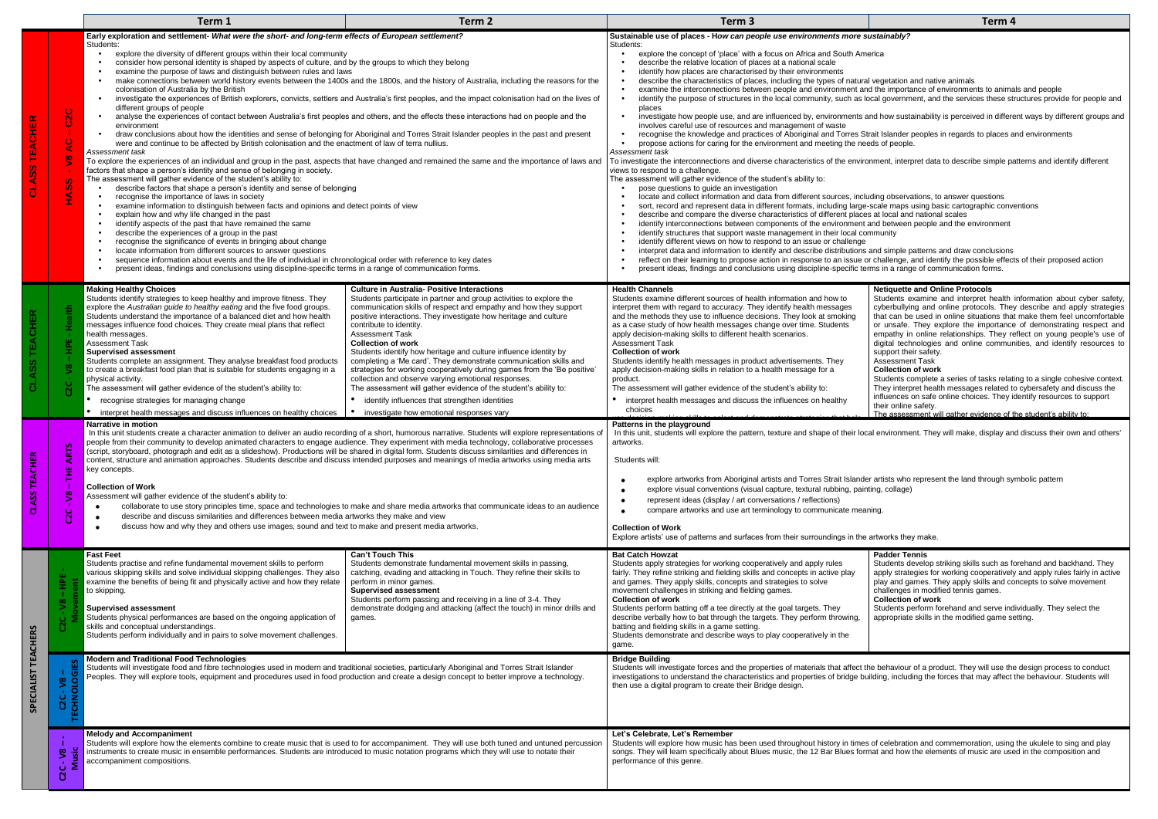#### **Sustainable use of places - H***ow can people use environments more sustainably?*

|        |                                                                                                                                              | Term 1                                                                                                                                                                                                                                                                                                                                                                                                                                                                                                                                                                                                                                                                                                                                                                                                                                                                                                                                                                                                                                                                                                                                                                                                                                                                                                                                                                                                                                                                                                                                                                                                                                                                                                                                                                                                                                                                                                                                                                                                                                                                                                                                                                                    | Term <sub>2</sub>                                                                                                                                                                                                                                                                                                                                                                                                                                                                                                                                                                                                                                                                                                                                                                                 | Term <sub>3</sub>                                                                                                                                                                                                                                                                                                                                                                                                                                                                                                                                                                                                                                                                                                                                                                                                                                                                                                                                                                                                                                                                                                                                                                                                                                                                                                                                                                                                                                                                                                                                                                                                                                                                                                                                                                                                                                                                                                                                                                                                                                                                                                                                                                                                                                                                                                                                                                                                                                                                   | Term <sub>4</sub>                                                                                                                                                                                                                                                                                                                                                                                                                                                                                                                                                                                                                                                                                                                                                                                                                                                                                         |  |
|--------|----------------------------------------------------------------------------------------------------------------------------------------------|-------------------------------------------------------------------------------------------------------------------------------------------------------------------------------------------------------------------------------------------------------------------------------------------------------------------------------------------------------------------------------------------------------------------------------------------------------------------------------------------------------------------------------------------------------------------------------------------------------------------------------------------------------------------------------------------------------------------------------------------------------------------------------------------------------------------------------------------------------------------------------------------------------------------------------------------------------------------------------------------------------------------------------------------------------------------------------------------------------------------------------------------------------------------------------------------------------------------------------------------------------------------------------------------------------------------------------------------------------------------------------------------------------------------------------------------------------------------------------------------------------------------------------------------------------------------------------------------------------------------------------------------------------------------------------------------------------------------------------------------------------------------------------------------------------------------------------------------------------------------------------------------------------------------------------------------------------------------------------------------------------------------------------------------------------------------------------------------------------------------------------------------------------------------------------------------|---------------------------------------------------------------------------------------------------------------------------------------------------------------------------------------------------------------------------------------------------------------------------------------------------------------------------------------------------------------------------------------------------------------------------------------------------------------------------------------------------------------------------------------------------------------------------------------------------------------------------------------------------------------------------------------------------------------------------------------------------------------------------------------------------|-------------------------------------------------------------------------------------------------------------------------------------------------------------------------------------------------------------------------------------------------------------------------------------------------------------------------------------------------------------------------------------------------------------------------------------------------------------------------------------------------------------------------------------------------------------------------------------------------------------------------------------------------------------------------------------------------------------------------------------------------------------------------------------------------------------------------------------------------------------------------------------------------------------------------------------------------------------------------------------------------------------------------------------------------------------------------------------------------------------------------------------------------------------------------------------------------------------------------------------------------------------------------------------------------------------------------------------------------------------------------------------------------------------------------------------------------------------------------------------------------------------------------------------------------------------------------------------------------------------------------------------------------------------------------------------------------------------------------------------------------------------------------------------------------------------------------------------------------------------------------------------------------------------------------------------------------------------------------------------------------------------------------------------------------------------------------------------------------------------------------------------------------------------------------------------------------------------------------------------------------------------------------------------------------------------------------------------------------------------------------------------------------------------------------------------------------------------------------------------|-----------------------------------------------------------------------------------------------------------------------------------------------------------------------------------------------------------------------------------------------------------------------------------------------------------------------------------------------------------------------------------------------------------------------------------------------------------------------------------------------------------------------------------------------------------------------------------------------------------------------------------------------------------------------------------------------------------------------------------------------------------------------------------------------------------------------------------------------------------------------------------------------------------|--|
|        |                                                                                                                                              | Early exploration and settlement- What were the short- and long-term effects of European settlement?                                                                                                                                                                                                                                                                                                                                                                                                                                                                                                                                                                                                                                                                                                                                                                                                                                                                                                                                                                                                                                                                                                                                                                                                                                                                                                                                                                                                                                                                                                                                                                                                                                                                                                                                                                                                                                                                                                                                                                                                                                                                                      |                                                                                                                                                                                                                                                                                                                                                                                                                                                                                                                                                                                                                                                                                                                                                                                                   | Sustainable use of places - How can people use environments more sustainably?                                                                                                                                                                                                                                                                                                                                                                                                                                                                                                                                                                                                                                                                                                                                                                                                                                                                                                                                                                                                                                                                                                                                                                                                                                                                                                                                                                                                                                                                                                                                                                                                                                                                                                                                                                                                                                                                                                                                                                                                                                                                                                                                                                                                                                                                                                                                                                                                       |                                                                                                                                                                                                                                                                                                                                                                                                                                                                                                                                                                                                                                                                                                                                                                                                                                                                                                           |  |
|        | $\circ$<br>$\sim$<br>$\circ$<br>$\circ$<br>$\blacktriangleleft$<br>$\tilde{S}$<br>$\boldsymbol{\omega}$<br><b>SC</b><br>$\blacktriangleleft$ | Students:<br>explore the diversity of different groups within their local community<br>consider how personal identity is shaped by aspects of culture, and by the groups to which they belong<br>examine the purpose of laws and distinguish between rules and laws<br>$\bullet$<br>make connections between world history events between the 1400s and the 1800s, and the history of Australia, including the reasons for the<br>$\bullet$<br>colonisation of Australia by the British<br>investigate the experiences of British explorers, convicts, settlers and Australia's first peoples, and the impact colonisation had on the lives of<br>$\bullet$<br>different aroups of people<br>analyse the experiences of contact between Australia's first peoples and others, and the effects these interactions had on people and the<br>environment<br>draw conclusions about how the identities and sense of belonging for Aboriginal and Torres Strait Islander peoples in the past and present<br>were and continue to be affected by British colonisation and the enactment of law of terra nullius.<br>Assessment task<br>To explore the experiences of an individual and group in the past, aspects that have changed and remained the same and the importance of laws and<br>factors that shape a person's identity and sense of belonging in society.<br>The assessment will gather evidence of the student's ability to:<br>describe factors that shape a person's identity and sense of belonging<br>recognise the importance of laws in society<br>examine information to distinguish between facts and opinions and detect points of view<br>explain how and why life changed in the past<br>identify aspects of the past that have remained the same<br>describe the experiences of a group in the past<br>recognise the significance of events in bringing about change<br>locate information from different sources to answer questions<br>sequence information about events and the life of individual in chronological order with reference to key dates<br>present ideas, findings and conclusions using discipline-specific terms in a range of communication forms. |                                                                                                                                                                                                                                                                                                                                                                                                                                                                                                                                                                                                                                                                                                                                                                                                   | Students:<br>explore the concept of 'place' with a focus on Africa and South America<br>describe the relative location of places at a national scale<br>identify how places are characterised by their environments<br>describe the characteristics of places, including the types of natural vegetation and native animals<br>examine the interconnections between people and environment and the importance of environments to animals and people<br>identify the purpose of structures in the local community, such as local government, and the services these structures provide for people and<br>$\bullet$<br>places<br>investigate how people use, and are influenced by, environments and how sustainability is perceived in different ways by different groups and<br>involves careful use of resources and management of waste<br>recognise the knowledge and practices of Aboriginal and Torres Strait Islander peoples in regards to places and environments<br>$\bullet$<br>propose actions for caring for the environment and meeting the needs of people.<br>Assessment task<br>To investigate the interconnections and diverse characteristics of the environment, interpret data to describe simple patterns and identify different<br>views to respond to a challenge.<br>The assessment will gather evidence of the student's ability to:<br>pose questions to guide an investigation<br>locate and collect information and data from different sources, including observations, to answer questions<br>$\bullet$<br>sort, record and represent data in different formats, including large-scale maps using basic cartographic conventions<br>describe and compare the diverse characteristics of different places at local and national scales<br>$\bullet$<br>identify interconnections between components of the environment and between people and the environment<br>$\bullet$<br>identify structures that support waste management in their local community<br>$\bullet$<br>identify different views on how to respond to an issue or challenge<br>interpret data and information to identify and describe distributions and simple patterns and draw conclusions<br>$\bullet$<br>reflect on their learning to propose action in response to an issue or challenge, and identify the possible effects of their proposed action<br>present ideas, findings and conclusions using discipline-specific terms in a range of communication forms.<br>$\bullet$ |                                                                                                                                                                                                                                                                                                                                                                                                                                                                                                                                                                                                                                                                                                                                                                                                                                                                                                           |  |
|        | ealth                                                                                                                                        | <b>Making Healthy Choices</b><br>Students identify strategies to keep healthy and improve fitness. They<br>explore the Australian guide to healthy eating and the five food groups.<br>Students understand the importance of a balanced diet and how health<br>messages influence food choices. They create meal plans that reflect<br>health messages.<br><b>Assessment Task</b><br><b>Supervised assessment</b><br>Students complete an assignment. They analyse breakfast food products<br>to create a breakfast food plan that is suitable for students engaging in a<br>physical activity.<br>The assessment will gather evidence of the student's ability to:<br>recognise strategies for managing change<br>• interpret health messages and discuss influences on healthy choices                                                                                                                                                                                                                                                                                                                                                                                                                                                                                                                                                                                                                                                                                                                                                                                                                                                                                                                                                                                                                                                                                                                                                                                                                                                                                                                                                                                                  | <b>Culture in Australia- Positive Interactions</b><br>Students participate in partner and group activities to explore the<br>communication skills of respect and empathy and how they support<br>positive interactions. They investigate how heritage and culture<br>contribute to identity.<br><b>Assessment Task</b><br><b>Collection of work</b><br>Students identify how heritage and culture influence identity by<br>completing a 'Me card'. They demonstrate communication skills and<br>strategies for working cooperatively during games from the 'Be positive'<br>collection and observe varying emotional responses.<br>The assessment will gather evidence of the student's ability to:<br>identify influences that strengthen identities<br>investigate how emotional responses vary | <b>Health Channels</b><br>Students examine different sources of health information and how to<br>interpret them with regard to accuracy. They identify health messages<br>and the methods they use to influence decisions. They look at smoking<br>as a case study of how health messages change over time. Students<br>apply decision-making skills to different health scenarios.<br><b>Assessment Task</b><br><b>Collection of work</b><br>Students identify health messages in product advertisements. They<br>apply decision-making skills in relation to a health message for a<br>product.<br>The assessment will gather evidence of the student's ability to:<br>interpret health messages and discuss the influences on healthy<br>choices                                                                                                                                                                                                                                                                                                                                                                                                                                                                                                                                                                                                                                                                                                                                                                                                                                                                                                                                                                                                                                                                                                                                                                                                                                                                                                                                                                                                                                                                                                                                                                                                                                                                                                                                 | <b>Netiquette and Online Protocols</b><br>Students examine and interpret health information about cyber safety<br>cyberbullying and online protocols. They describe and apply strategies<br>that can be used in online situations that make them feel uncomfortable<br>or unsafe. They explore the importance of demonstrating respect and<br>empathy in online relationships. They reflect on young people's use of<br>digital technologies and online communities, and identify resources to<br>support their safety.<br><b>Assessment Task</b><br><b>Collection of work</b><br>Students complete a series of tasks relating to a single cohesive context<br>They interpret health messages related to cybersafety and discuss the<br>influences on safe online choices. They identify resources to support<br>their online safety.<br>The assessment will gather evidence of the student's ability to: |  |
| $\sim$ | ART<br>Ĕ<br><b>S</b><br>$\mathbf \omega$<br>Š                                                                                                | Narrative in motion<br>In this unit students create a character animation to deliver an audio recording of a short, humorous narrative. Students will explore representations of<br>people from their community to develop animated characters to engage audience. They experiment with media technology, collaborative processes<br>(script, storyboard, photograph and edit as a slideshow). Productions will be shared in digital form. Students discuss similarities and differences in<br>content, structure and animation approaches. Students describe and discuss intended purposes and meanings of media artworks using media arts<br>key concepts.<br><b>Collection of Work</b><br>Assessment will gather evidence of the student's ability to:<br>collaborate to use story principles time, space and technologies to make and share media artworks that communicate ideas to an audience<br>$\bullet$<br>describe and discuss similarities and differences between media artworks they make and view<br>$\bullet$<br>discuss how and why they and others use images, sound and text to make and present media artworks.<br>$\bullet$                                                                                                                                                                                                                                                                                                                                                                                                                                                                                                                                                                                                                                                                                                                                                                                                                                                                                                                                                                                                                                          |                                                                                                                                                                                                                                                                                                                                                                                                                                                                                                                                                                                                                                                                                                                                                                                                   | Patterns in the playground<br>In this unit, students will explore the pattern, texture and shape of their local environment. They will make, display and discuss their own and others<br>artworks.<br>Students will:<br>explore artworks from Aboriginal artists and Torres Strait Islander artists who represent the land through symbolic pattern<br>$\bullet$<br>explore visual conventions (visual capture, textural rubbing, painting, collage)<br>$\bullet$<br>represent ideas (display / art conversations / reflections)<br>$\bullet$<br>compare artworks and use art terminology to communicate meaning.<br>$\bullet$<br><b>Collection of Work</b><br>Explore artists' use of patterns and surfaces from their surroundings in the artworks they make.                                                                                                                                                                                                                                                                                                                                                                                                                                                                                                                                                                                                                                                                                                                                                                                                                                                                                                                                                                                                                                                                                                                                                                                                                                                                                                                                                                                                                                                                                                                                                                                                                                                                                                                     |                                                                                                                                                                                                                                                                                                                                                                                                                                                                                                                                                                                                                                                                                                                                                                                                                                                                                                           |  |
|        | <b>HPE</b><br>$\tilde{z}$<br>C2C                                                                                                             | <b>Fast Feet</b><br>Students practise and refine fundamental movement skills to perform<br>various skipping skills and solve individual skipping challenges. They also<br>examine the benefits of being fit and physically active and how they relate<br>to skipping.<br><b>Supervised assessment</b><br>Students physical performances are based on the ongoing application of<br>skills and conceptual understandings.<br>Students perform individually and in pairs to solve movement challenges.<br><b>Modern and Traditional Food Technologies</b><br>Students will investigate food and fibre technologies used in modern and traditional societies, particularly Aboriginal and Torres Strait Islander<br>Peoples. They will explore tools, equipment and procedures used in food production and create a design concept to better improve a technology.                                                                                                                                                                                                                                                                                                                                                                                                                                                                                                                                                                                                                                                                                                                                                                                                                                                                                                                                                                                                                                                                                                                                                                                                                                                                                                                           | <b>Can't Touch This</b><br>Students demonstrate fundamental movement skills in passing,<br>catching, evading and attacking in Touch. They refine their skills to<br>perform in minor games.<br><b>Supervised assessment</b><br>Students perform passing and receiving in a line of 3-4. They<br>demonstrate dodging and attacking (affect the touch) in minor drills and<br>games.                                                                                                                                                                                                                                                                                                                                                                                                                | <b>Bat Catch Howzat</b><br>Students apply strategies for working cooperatively and apply rules<br>fairly. They refine striking and fielding skills and concepts in active play<br>and games. They apply skills, concepts and strategies to solve<br>movement challenges in striking and fielding games.<br><b>Collection of work</b><br>Students perform batting off a tee directly at the goal targets. They<br>describe verbally how to bat through the targets. They perform throwing,<br>batting and fielding skills in a game setting.<br>Students demonstrate and describe ways to play cooperatively in the<br>game.<br><b>Bridge Building</b><br>Students will investigate forces and the properties of materials that affect the behaviour of a product. They will use the design process to conduct<br>investigations to understand the characteristics and properties of bridge building, including the forces that may affect the behaviour. Students will                                                                                                                                                                                                                                                                                                                                                                                                                                                                                                                                                                                                                                                                                                                                                                                                                                                                                                                                                                                                                                                                                                                                                                                                                                                                                                                                                                                                                                                                                                              | <b>Padder Tennis</b><br>Students develop striking skills such as forehand and backhand. They<br>apply strategies for working cooperatively and apply rules fairly in active<br>play and games. They apply skills and concepts to solve movement<br>challenges in modified tennis games.<br><b>Collection of work</b><br>Students perform forehand and serve individually. They select the<br>appropriate skills in the modified game setting.                                                                                                                                                                                                                                                                                                                                                                                                                                                             |  |
|        | $-V8$<br>г<br>C <sub>2</sub> C<br>ō<br>$\boldsymbol{\mathsf{S}}$<br>2<br>$\cup$<br><u>ប</u>                                                  | <b>Melody and Accompaniment</b><br>Students will explore how the elements combine to create music that is used to for accompaniment. They will use both tuned and untuned percussion<br>instruments to create music in ensemble performances. Students are introduced to music notation programs which they will use to notate their<br>accompaniment compositions.                                                                                                                                                                                                                                                                                                                                                                                                                                                                                                                                                                                                                                                                                                                                                                                                                                                                                                                                                                                                                                                                                                                                                                                                                                                                                                                                                                                                                                                                                                                                                                                                                                                                                                                                                                                                                       |                                                                                                                                                                                                                                                                                                                                                                                                                                                                                                                                                                                                                                                                                                                                                                                                   | then use a digital program to create their Bridge design.<br>Let's Celebrate, Let's Remember<br>Students will explore how music has been used throughout history in times of celebration and commemoration, using the ukulele to sing and play<br>songs. They will learn specifically about Blues music, the 12 Bar Blues format and how the elements of music are used in the composition and<br>performance of this genre.                                                                                                                                                                                                                                                                                                                                                                                                                                                                                                                                                                                                                                                                                                                                                                                                                                                                                                                                                                                                                                                                                                                                                                                                                                                                                                                                                                                                                                                                                                                                                                                                                                                                                                                                                                                                                                                                                                                                                                                                                                                        |                                                                                                                                                                                                                                                                                                                                                                                                                                                                                                                                                                                                                                                                                                                                                                                                                                                                                                           |  |

#### **Netiquette and Online Protocols**

## Assessment Task

#### **Padder Tennis**

#### **Collection of work**